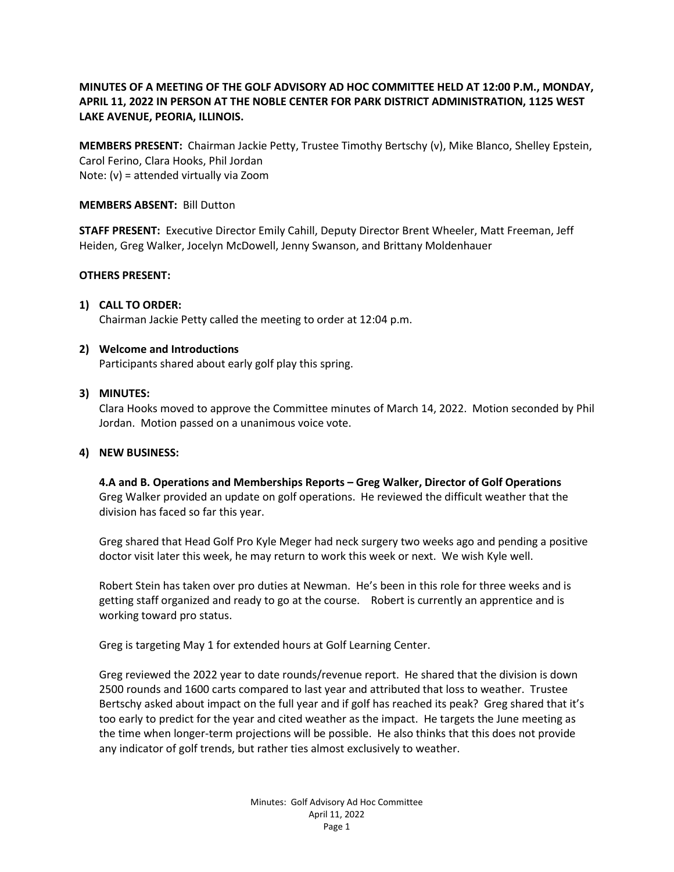# **MINUTES OF A MEETING OF THE GOLF ADVISORY AD HOC COMMITTEE HELD AT 12:00 P.M., MONDAY, APRIL 11, 2022 IN PERSON AT THE NOBLE CENTER FOR PARK DISTRICT ADMINISTRATION, 1125 WEST LAKE AVENUE, PEORIA, ILLINOIS.**

**MEMBERS PRESENT:** Chairman Jackie Petty, Trustee Timothy Bertschy (v), Mike Blanco, Shelley Epstein, Carol Ferino, Clara Hooks, Phil Jordan Note: (v) = attended virtually via Zoom

### **MEMBERS ABSENT:** Bill Dutton

**STAFF PRESENT:** Executive Director Emily Cahill, Deputy Director Brent Wheeler, Matt Freeman, Jeff Heiden, Greg Walker, Jocelyn McDowell, Jenny Swanson, and Brittany Moldenhauer

# **OTHERS PRESENT:**

# **1) CALL TO ORDER:**

Chairman Jackie Petty called the meeting to order at 12:04 p.m.

## **2) Welcome and Introductions**

Participants shared about early golf play this spring.

# **3) MINUTES:**

Clara Hooks moved to approve the Committee minutes of March 14, 2022. Motion seconded by Phil Jordan. Motion passed on a unanimous voice vote.

### **4) NEW BUSINESS:**

**4.A and B. Operations and Memberships Reports – Greg Walker, Director of Golf Operations** Greg Walker provided an update on golf operations. He reviewed the difficult weather that the division has faced so far this year.

Greg shared that Head Golf Pro Kyle Meger had neck surgery two weeks ago and pending a positive doctor visit later this week, he may return to work this week or next. We wish Kyle well.

Robert Stein has taken over pro duties at Newman. He's been in this role for three weeks and is getting staff organized and ready to go at the course. Robert is currently an apprentice and is working toward pro status.

Greg is targeting May 1 for extended hours at Golf Learning Center.

Greg reviewed the 2022 year to date rounds/revenue report. He shared that the division is down 2500 rounds and 1600 carts compared to last year and attributed that loss to weather. Trustee Bertschy asked about impact on the full year and if golf has reached its peak? Greg shared that it's too early to predict for the year and cited weather as the impact. He targets the June meeting as the time when longer-term projections will be possible. He also thinks that this does not provide any indicator of golf trends, but rather ties almost exclusively to weather.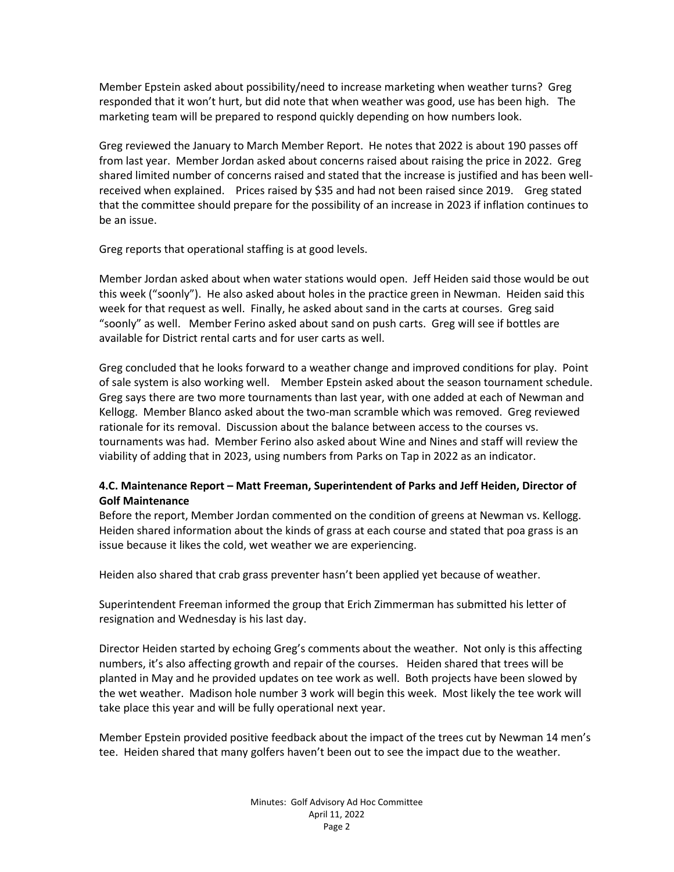Member Epstein asked about possibility/need to increase marketing when weather turns? Greg responded that it won't hurt, but did note that when weather was good, use has been high. The marketing team will be prepared to respond quickly depending on how numbers look.

Greg reviewed the January to March Member Report. He notes that 2022 is about 190 passes off from last year. Member Jordan asked about concerns raised about raising the price in 2022. Greg shared limited number of concerns raised and stated that the increase is justified and has been wellreceived when explained. Prices raised by \$35 and had not been raised since 2019. Greg stated that the committee should prepare for the possibility of an increase in 2023 if inflation continues to be an issue.

Greg reports that operational staffing is at good levels.

Member Jordan asked about when water stations would open. Jeff Heiden said those would be out this week ("soonly"). He also asked about holes in the practice green in Newman. Heiden said this week for that request as well. Finally, he asked about sand in the carts at courses. Greg said "soonly" as well. Member Ferino asked about sand on push carts. Greg will see if bottles are available for District rental carts and for user carts as well.

Greg concluded that he looks forward to a weather change and improved conditions for play. Point of sale system is also working well. Member Epstein asked about the season tournament schedule. Greg says there are two more tournaments than last year, with one added at each of Newman and Kellogg. Member Blanco asked about the two-man scramble which was removed. Greg reviewed rationale for its removal. Discussion about the balance between access to the courses vs. tournaments was had. Member Ferino also asked about Wine and Nines and staff will review the viability of adding that in 2023, using numbers from Parks on Tap in 2022 as an indicator.

# **4.C. Maintenance Report – Matt Freeman, Superintendent of Parks and Jeff Heiden, Director of Golf Maintenance**

Before the report, Member Jordan commented on the condition of greens at Newman vs. Kellogg. Heiden shared information about the kinds of grass at each course and stated that poa grass is an issue because it likes the cold, wet weather we are experiencing.

Heiden also shared that crab grass preventer hasn't been applied yet because of weather.

Superintendent Freeman informed the group that Erich Zimmerman has submitted his letter of resignation and Wednesday is his last day.

Director Heiden started by echoing Greg's comments about the weather. Not only is this affecting numbers, it's also affecting growth and repair of the courses. Heiden shared that trees will be planted in May and he provided updates on tee work as well. Both projects have been slowed by the wet weather. Madison hole number 3 work will begin this week. Most likely the tee work will take place this year and will be fully operational next year.

Member Epstein provided positive feedback about the impact of the trees cut by Newman 14 men's tee. Heiden shared that many golfers haven't been out to see the impact due to the weather.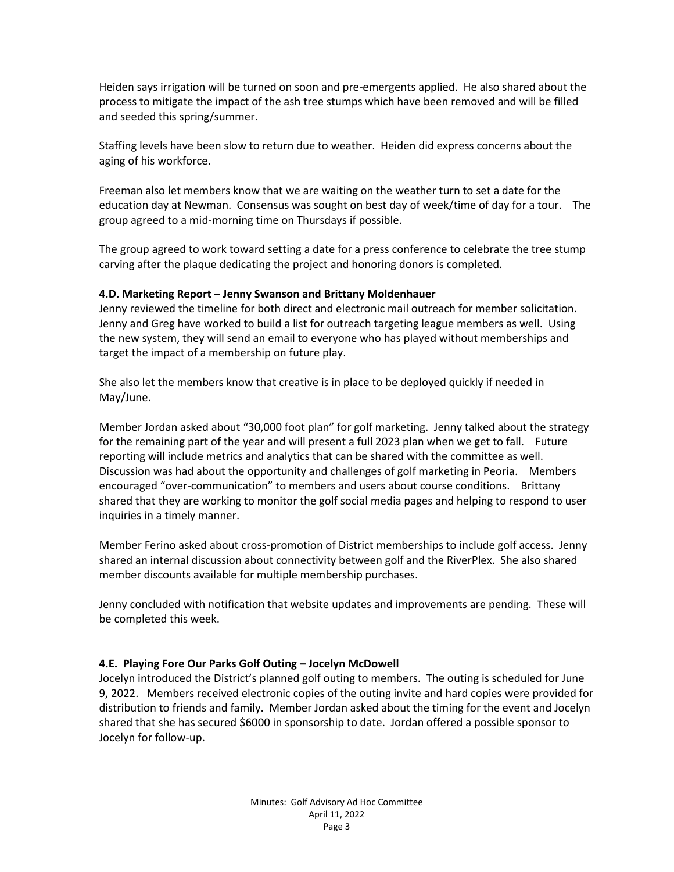Heiden says irrigation will be turned on soon and pre-emergents applied. He also shared about the process to mitigate the impact of the ash tree stumps which have been removed and will be filled and seeded this spring/summer.

Staffing levels have been slow to return due to weather. Heiden did express concerns about the aging of his workforce.

Freeman also let members know that we are waiting on the weather turn to set a date for the education day at Newman. Consensus was sought on best day of week/time of day for a tour. The group agreed to a mid-morning time on Thursdays if possible.

The group agreed to work toward setting a date for a press conference to celebrate the tree stump carving after the plaque dedicating the project and honoring donors is completed.

## **4.D. Marketing Report – Jenny Swanson and Brittany Moldenhauer**

Jenny reviewed the timeline for both direct and electronic mail outreach for member solicitation. Jenny and Greg have worked to build a list for outreach targeting league members as well. Using the new system, they will send an email to everyone who has played without memberships and target the impact of a membership on future play.

She also let the members know that creative is in place to be deployed quickly if needed in May/June.

Member Jordan asked about "30,000 foot plan" for golf marketing. Jenny talked about the strategy for the remaining part of the year and will present a full 2023 plan when we get to fall. Future reporting will include metrics and analytics that can be shared with the committee as well. Discussion was had about the opportunity and challenges of golf marketing in Peoria. Members encouraged "over-communication" to members and users about course conditions. Brittany shared that they are working to monitor the golf social media pages and helping to respond to user inquiries in a timely manner.

Member Ferino asked about cross-promotion of District memberships to include golf access. Jenny shared an internal discussion about connectivity between golf and the RiverPlex. She also shared member discounts available for multiple membership purchases.

Jenny concluded with notification that website updates and improvements are pending. These will be completed this week.

# **4.E. Playing Fore Our Parks Golf Outing – Jocelyn McDowell**

Jocelyn introduced the District's planned golf outing to members. The outing is scheduled for June 9, 2022. Members received electronic copies of the outing invite and hard copies were provided for distribution to friends and family. Member Jordan asked about the timing for the event and Jocelyn shared that she has secured \$6000 in sponsorship to date. Jordan offered a possible sponsor to Jocelyn for follow-up.